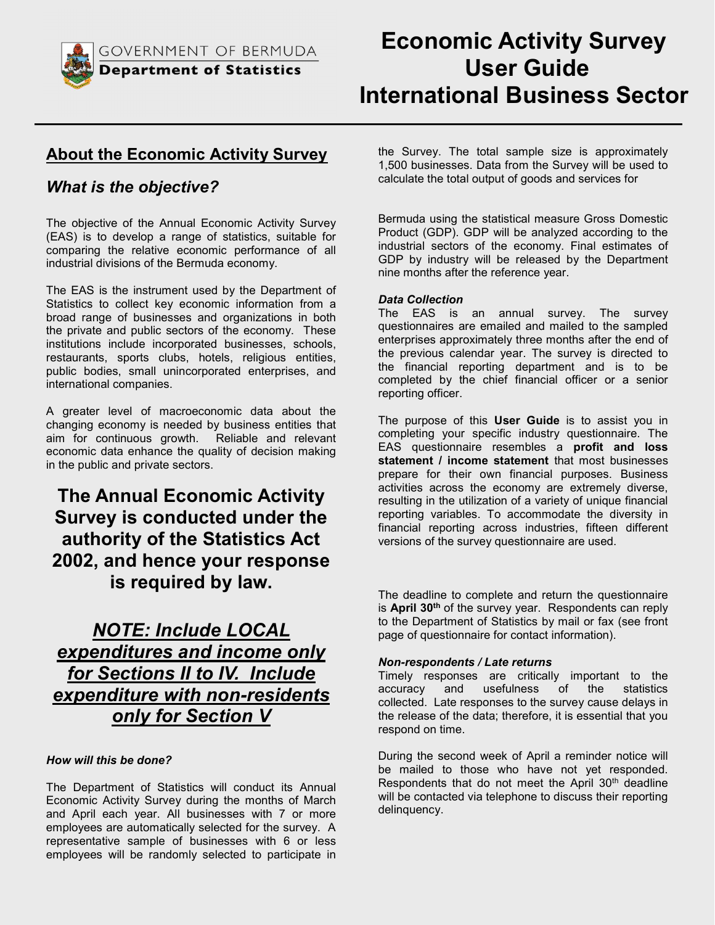

## About the Economic Activity Survey

## What is the objective?

The objective of the Annual Economic Activity Survey (EAS) is to develop a range of statistics, suitable for comparing the relative economic performance of all industrial divisions of the Bermuda economy.

The EAS is the instrument used by the Department of Statistics to collect key economic information from a broad range of businesses and organizations in both the private and public sectors of the economy. These institutions include incorporated businesses, schools, restaurants, sports clubs, hotels, religious entities, public bodies, small unincorporated enterprises, and international companies.

A greater level of macroeconomic data about the changing economy is needed by business entities that aim for continuous growth. Reliable and relevant economic data enhance the quality of decision making in the public and private sectors.

## The Annual Economic Activity Survey is conducted under the authority of the Statistics Act 2002, and hence your response is required by law.

## NOTE: Include LOCAL expenditures and income only for Sections II to IV. Include expenditure with non-residents only for Section V

#### How will this be done?

The Department of Statistics will conduct its Annual Economic Activity Survey during the months of March and April each year. All businesses with 7 or more employees are automatically selected for the survey. A representative sample of businesses with 6 or less employees will be randomly selected to participate in the Survey. The total sample size is approximately 1,500 businesses. Data from the Survey will be used to calculate the total output of goods and services for

Bermuda using the statistical measure Gross Domestic Product (GDP). GDP will be analyzed according to the industrial sectors of the economy. Final estimates of GDP by industry will be released by the Department nine months after the reference year.

#### Data Collection

The EAS is an annual survey. The survey questionnaires are emailed and mailed to the sampled enterprises approximately three months after the end of the previous calendar year. The survey is directed to the financial reporting department and is to be completed by the chief financial officer or a senior reporting officer.

The purpose of this User Guide is to assist you in completing your specific industry questionnaire. The EAS questionnaire resembles a **profit and loss** statement / income statement that most businesses prepare for their own financial purposes. Business activities across the economy are extremely diverse, resulting in the utilization of a variety of unique financial reporting variables. To accommodate the diversity in financial reporting across industries, fifteen different versions of the survey questionnaire are used.

The deadline to complete and return the questionnaire is April  $30<sup>th</sup>$  of the survey year. Respondents can reply to the Department of Statistics by mail or fax (see front page of questionnaire for contact information).

#### Non-respondents / Late returns

Timely responses are critically important to the accuracy and usefulness of the statistics collected. Late responses to the survey cause delays in the release of the data; therefore, it is essential that you respond on time.

During the second week of April a reminder notice will be mailed to those who have not yet responded. Respondents that do not meet the April 30<sup>th</sup> deadline will be contacted via telephone to discuss their reporting delinquency.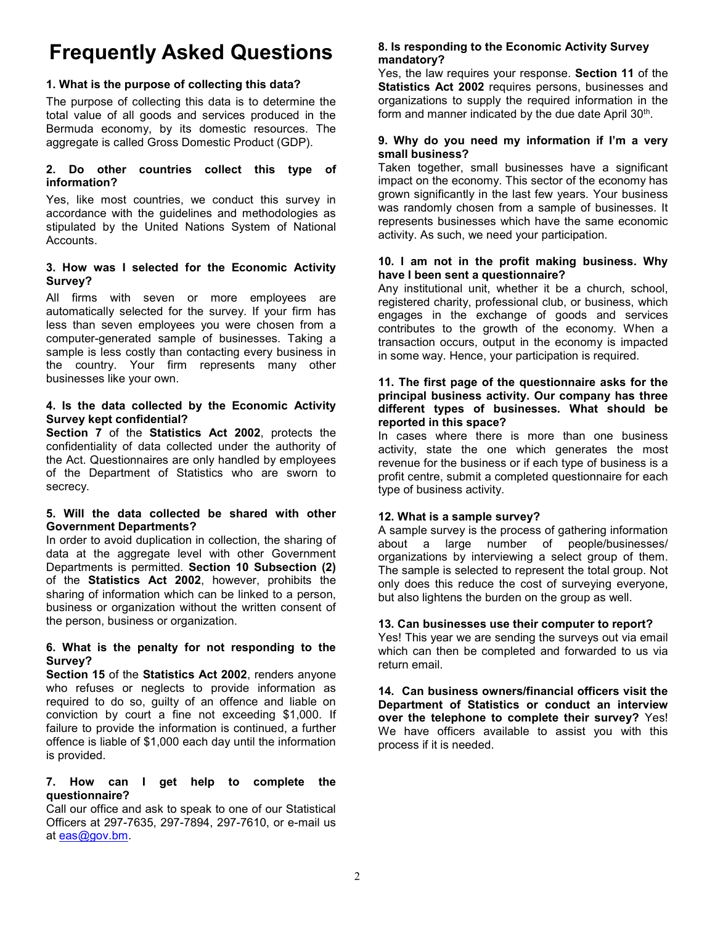# Frequently Asked Questions

### 1. What is the purpose of collecting this data?

The purpose of collecting this data is to determine the total value of all goods and services produced in the Bermuda economy, by its domestic resources. The aggregate is called Gross Domestic Product (GDP).

#### 2. Do other countries collect this type of information?

Yes, like most countries, we conduct this survey in accordance with the guidelines and methodologies as stipulated by the United Nations System of National Accounts.

#### 3. How was I selected for the Economic Activity Survey?

All firms with seven or more employees are automatically selected for the survey. If your firm has less than seven employees you were chosen from a computer-generated sample of businesses. Taking a sample is less costly than contacting every business in the country. Your firm represents many other businesses like your own.

#### 4. Is the data collected by the Economic Activity Survey kept confidential?

Section 7 of the Statistics Act 2002, protects the confidentiality of data collected under the authority of the Act. Questionnaires are only handled by employees of the Department of Statistics who are sworn to secrecy.

#### 5. Will the data collected be shared with other Government Departments?

In order to avoid duplication in collection, the sharing of data at the aggregate level with other Government Departments is permitted. Section 10 Subsection (2) of the Statistics Act 2002, however, prohibits the sharing of information which can be linked to a person, business or organization without the written consent of the person, business or organization.

#### 6. What is the penalty for not responding to the Survey?

Section 15 of the Statistics Act 2002, renders anyone who refuses or neglects to provide information as required to do so, guilty of an offence and liable on conviction by court a fine not exceeding \$1,000. If failure to provide the information is continued, a further offence is liable of \$1,000 each day until the information is provided.

#### 7. How can I get help to complete the questionnaire?

Call our office and ask to speak to one of our Statistical Officers at 297-7635, 297-7894, 297-7610, or e-mail us at eas@gov.bm.

#### 8. Is responding to the Economic Activity Survey mandatory?

Yes, the law requires your response. Section 11 of the Statistics Act 2002 requires persons, businesses and organizations to supply the required information in the form and manner indicated by the due date April 30<sup>th</sup>.

#### 9. Why do you need my information if I'm a very small business?

Taken together, small businesses have a significant impact on the economy. This sector of the economy has grown significantly in the last few years. Your business was randomly chosen from a sample of businesses. It represents businesses which have the same economic activity. As such, we need your participation.

#### 10. I am not in the profit making business. Why have I been sent a questionnaire?

Any institutional unit, whether it be a church, school, registered charity, professional club, or business, which engages in the exchange of goods and services contributes to the growth of the economy. When a transaction occurs, output in the economy is impacted in some way. Hence, your participation is required.

#### 11. The first page of the questionnaire asks for the principal business activity. Our company has three different types of businesses. What should be reported in this space?

In cases where there is more than one business activity, state the one which generates the most revenue for the business or if each type of business is a profit centre, submit a completed questionnaire for each type of business activity.

#### 12. What is a sample survey?

A sample survey is the process of gathering information about a large number of people/businesses/ organizations by interviewing a select group of them. The sample is selected to represent the total group. Not only does this reduce the cost of surveying everyone, but also lightens the burden on the group as well.

#### 13. Can businesses use their computer to report?

Yes! This year we are sending the surveys out via email which can then be completed and forwarded to us via return email.

14. Can business owners/financial officers visit the Department of Statistics or conduct an interview over the telephone to complete their survey? Yes! We have officers available to assist you with this process if it is needed.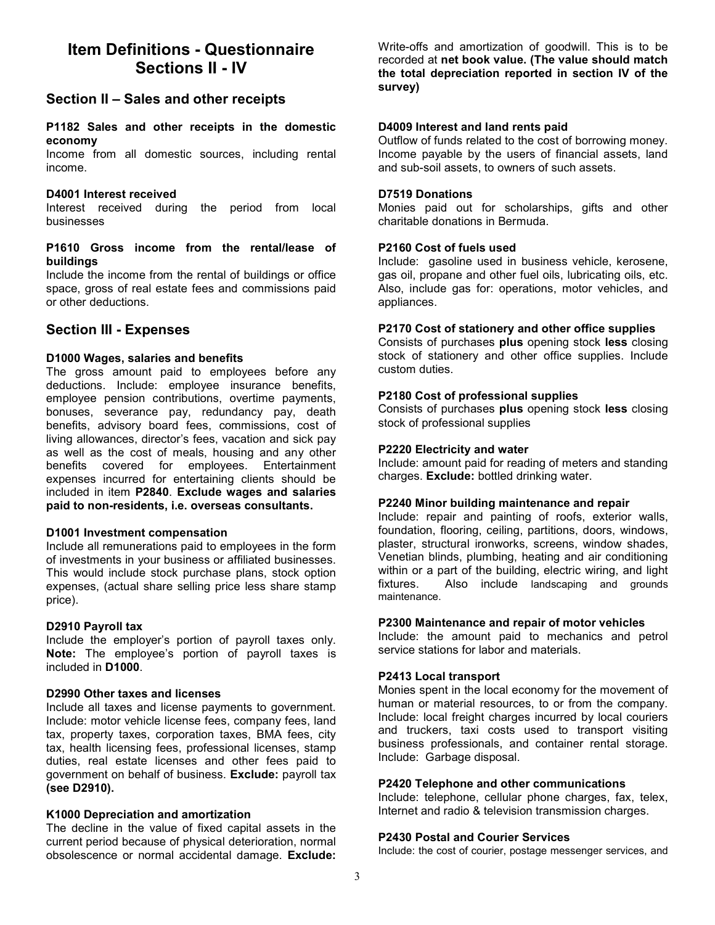## Item Definitions - Questionnaire Sections II - IV

## Section II – Sales and other receipts

#### P1182 Sales and other receipts in the domestic economy

Income from all domestic sources, including rental income.

#### D4001 Interest received

Interest received during the period from local businesses

#### P1610 Gross income from the rental/lease of buildings

Include the income from the rental of buildings or office space, gross of real estate fees and commissions paid or other deductions.

### Section III - Expenses

#### D1000 Wages, salaries and benefits

The gross amount paid to employees before any deductions. Include: employee insurance benefits, employee pension contributions, overtime payments, bonuses, severance pay, redundancy pay, death benefits, advisory board fees, commissions, cost of living allowances, director's fees, vacation and sick pay as well as the cost of meals, housing and any other benefits covered for employees. Entertainment expenses incurred for entertaining clients should be included in item P2840. Exclude wages and salaries paid to non-residents, i.e. overseas consultants.

#### D1001 Investment compensation

Include all remunerations paid to employees in the form of investments in your business or affiliated businesses. This would include stock purchase plans, stock option expenses, (actual share selling price less share stamp price).

#### D2910 Payroll tax

Include the employer's portion of payroll taxes only. Note: The employee's portion of payroll taxes is included in D1000.

#### D2990 Other taxes and licenses

Include all taxes and license payments to government. Include: motor vehicle license fees, company fees, land tax, property taxes, corporation taxes, BMA fees, city tax, health licensing fees, professional licenses, stamp duties, real estate licenses and other fees paid to government on behalf of business. Exclude: payroll tax (see D2910).

#### K1000 Depreciation and amortization

The decline in the value of fixed capital assets in the current period because of physical deterioration, normal obsolescence or normal accidental damage. Exclude:

Write-offs and amortization of goodwill. This is to be recorded at net book value. (The value should match the total depreciation reported in section IV of the survey)

#### D4009 Interest and land rents paid

Outflow of funds related to the cost of borrowing money. Income payable by the users of financial assets, land and sub-soil assets, to owners of such assets.

#### D7519 Donations

Monies paid out for scholarships, gifts and other charitable donations in Bermuda.

#### P2160 Cost of fuels used

Include: gasoline used in business vehicle, kerosene, gas oil, propane and other fuel oils, lubricating oils, etc. Also, include gas for: operations, motor vehicles, and appliances.

#### P2170 Cost of stationery and other office supplies

Consists of purchases plus opening stock less closing stock of stationery and other office supplies. Include custom duties.

#### P2180 Cost of professional supplies

Consists of purchases plus opening stock less closing stock of professional supplies

#### P2220 Electricity and water

Include: amount paid for reading of meters and standing charges. **Exclude:** bottled drinking water.

#### P2240 Minor building maintenance and repair

Include: repair and painting of roofs, exterior walls, foundation, flooring, ceiling, partitions, doors, windows, plaster, structural ironworks, screens, window shades, Venetian blinds, plumbing, heating and air conditioning within or a part of the building, electric wiring, and light fixtures. Also include landscaping and grounds maintenance.

#### P2300 Maintenance and repair of motor vehicles

Include: the amount paid to mechanics and petrol service stations for labor and materials.

#### P2413 Local transport

Monies spent in the local economy for the movement of human or material resources, to or from the company. Include: local freight charges incurred by local couriers and truckers, taxi costs used to transport visiting business professionals, and container rental storage. Include: Garbage disposal.

#### P2420 Telephone and other communications

Include: telephone, cellular phone charges, fax, telex, Internet and radio & television transmission charges.

#### P2430 Postal and Courier Services

Include: the cost of courier, postage messenger services, and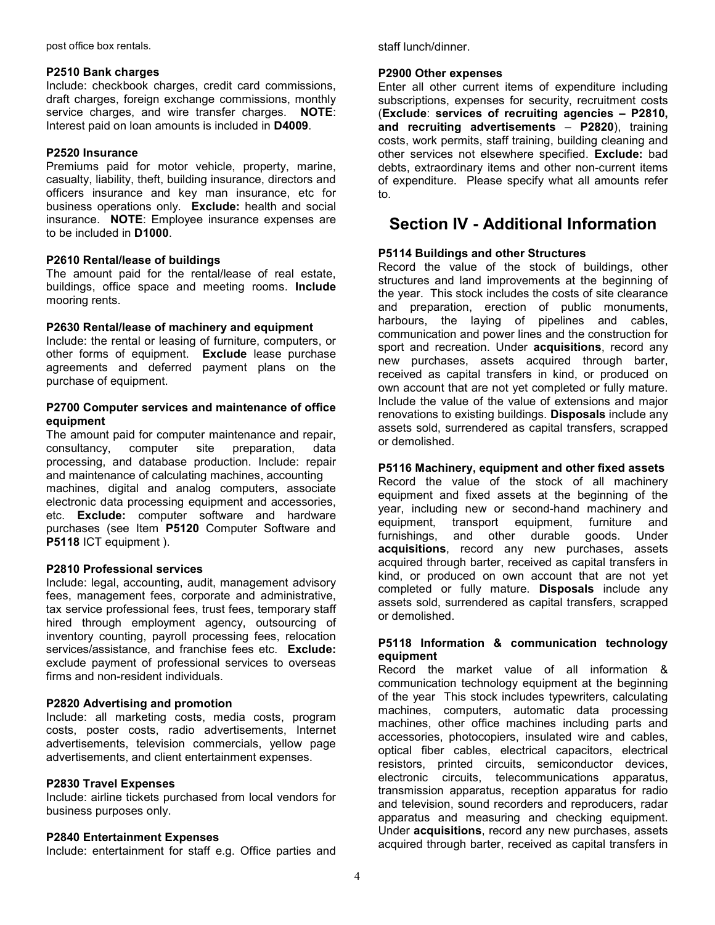post office box rentals.

#### P2510 Bank charges

Include: checkbook charges, credit card commissions, draft charges, foreign exchange commissions, monthly service charges, and wire transfer charges. NOTE: Interest paid on loan amounts is included in D4009.

#### P2520 Insurance

Premiums paid for motor vehicle, property, marine, casualty, liability, theft, building insurance, directors and officers insurance and key man insurance, etc for business operations only. Exclude: health and social insurance. NOTE: Employee insurance expenses are to be included in D1000.

#### P2610 Rental/lease of buildings

The amount paid for the rental/lease of real estate, buildings, office space and meeting rooms. Include mooring rents.

#### P2630 Rental/lease of machinery and equipment

Include: the rental or leasing of furniture, computers, or other forms of equipment. Exclude lease purchase agreements and deferred payment plans on the purchase of equipment.

#### P2700 Computer services and maintenance of office equipment

The amount paid for computer maintenance and repair, consultancy, computer site preparation, data processing, and database production. Include: repair and maintenance of calculating machines, accounting machines, digital and analog computers, associate electronic data processing equipment and accessories, etc. Exclude: computer software and hardware purchases (see Item P5120 Computer Software and P5118 ICT equipment ).

#### P2810 Professional services

Include: legal, accounting, audit, management advisory fees, management fees, corporate and administrative, tax service professional fees, trust fees, temporary staff hired through employment agency, outsourcing of inventory counting, payroll processing fees, relocation services/assistance, and franchise fees etc. Exclude: exclude payment of professional services to overseas firms and non-resident individuals.

#### P2820 Advertising and promotion

Include: all marketing costs, media costs, program costs, poster costs, radio advertisements, Internet advertisements, television commercials, yellow page advertisements, and client entertainment expenses.

#### P2830 Travel Expenses

Include: airline tickets purchased from local vendors for business purposes only.

#### P2840 Entertainment Expenses

Include: entertainment for staff e.g. Office parties and

staff lunch/dinner.

#### P2900 Other expenses

Enter all other current items of expenditure including subscriptions, expenses for security, recruitment costs (Exclude: services of recruiting agencies – P2810, and recruiting advertisements – P2820), training costs, work permits, staff training, building cleaning and other services not elsewhere specified. Exclude: bad debts, extraordinary items and other non-current items of expenditure. Please specify what all amounts refer to.

## Section IV - Additional Information

#### P5114 Buildings and other Structures

Record the value of the stock of buildings, other structures and land improvements at the beginning of the year. This stock includes the costs of site clearance and preparation, erection of public monuments, harbours, the laying of pipelines and cables, communication and power lines and the construction for sport and recreation. Under acquisitions, record any new purchases, assets acquired through barter, received as capital transfers in kind, or produced on own account that are not yet completed or fully mature. Include the value of the value of extensions and major renovations to existing buildings. Disposals include any assets sold, surrendered as capital transfers, scrapped or demolished.

#### P5116 Machinery, equipment and other fixed assets

Record the value of the stock of all machinery equipment and fixed assets at the beginning of the year, including new or second-hand machinery and equipment, transport equipment, furniture and furnishings, and other durable goods. Under acquisitions, record any new purchases, assets acquired through barter, received as capital transfers in kind, or produced on own account that are not yet completed or fully mature. Disposals include any assets sold, surrendered as capital transfers, scrapped or demolished.

#### P5118 Information & communication technology equipment

Record the market value of all information & communication technology equipment at the beginning of the year This stock includes typewriters, calculating machines, computers, automatic data processing machines, other office machines including parts and accessories, photocopiers, insulated wire and cables, optical fiber cables, electrical capacitors, electrical resistors, printed circuits, semiconductor devices, electronic circuits, telecommunications apparatus, transmission apparatus, reception apparatus for radio and television, sound recorders and reproducers, radar apparatus and measuring and checking equipment. Under acquisitions, record any new purchases, assets acquired through barter, received as capital transfers in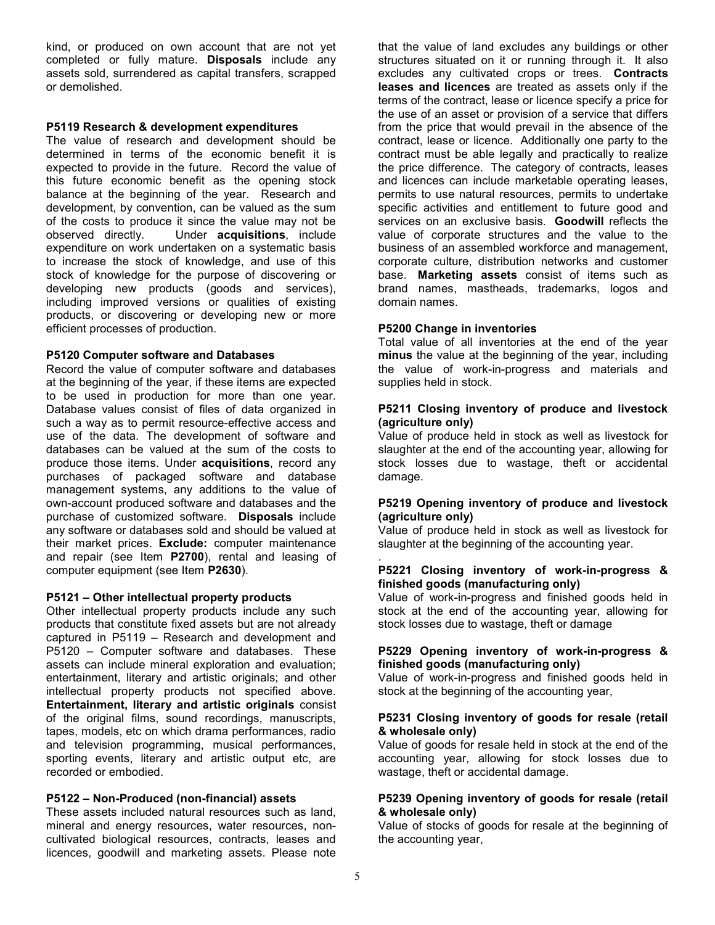kind, or produced on own account that are not yet completed or fully mature. Disposals include any assets sold, surrendered as capital transfers, scrapped or demolished.

#### P5119 Research & development expenditures

The value of research and development should be determined in terms of the economic benefit it is expected to provide in the future. Record the value of this future economic benefit as the opening stock balance at the beginning of the year. Research and development, by convention, can be valued as the sum of the costs to produce it since the value may not be observed directly. Under acquisitions, include expenditure on work undertaken on a systematic basis to increase the stock of knowledge, and use of this stock of knowledge for the purpose of discovering or developing new products (goods and services), including improved versions or qualities of existing products, or discovering or developing new or more efficient processes of production.

#### P5120 Computer software and Databases

Record the value of computer software and databases at the beginning of the year, if these items are expected to be used in production for more than one year. Database values consist of files of data organized in such a way as to permit resource-effective access and use of the data. The development of software and databases can be valued at the sum of the costs to produce those items. Under acquisitions, record any purchases of packaged software and database management systems, any additions to the value of own-account produced software and databases and the purchase of customized software. Disposals include any software or databases sold and should be valued at their market prices. Exclude: computer maintenance and repair (see Item P2700), rental and leasing of computer equipment (see Item P2630).

#### P5121 – Other intellectual property products

Other intellectual property products include any such products that constitute fixed assets but are not already captured in P5119 – Research and development and P5120 – Computer software and databases. These assets can include mineral exploration and evaluation; entertainment, literary and artistic originals; and other intellectual property products not specified above. Entertainment, literary and artistic originals consist of the original films, sound recordings, manuscripts, tapes, models, etc on which drama performances, radio and television programming, musical performances, sporting events, literary and artistic output etc, are recorded or embodied.

#### P5122 – Non-Produced (non-financial) assets

These assets included natural resources such as land, mineral and energy resources, water resources, noncultivated biological resources, contracts, leases and licences, goodwill and marketing assets. Please note

that the value of land excludes any buildings or other structures situated on it or running through it. It also excludes any cultivated crops or trees. Contracts leases and licences are treated as assets only if the terms of the contract, lease or licence specify a price for the use of an asset or provision of a service that differs from the price that would prevail in the absence of the contract, lease or licence. Additionally one party to the contract must be able legally and practically to realize the price difference. The category of contracts, leases and licences can include marketable operating leases, permits to use natural resources, permits to undertake specific activities and entitlement to future good and services on an exclusive basis. **Goodwill** reflects the value of corporate structures and the value to the business of an assembled workforce and management, corporate culture, distribution networks and customer base. Marketing assets consist of items such as brand names, mastheads, trademarks, logos and domain names.

#### P5200 Change in inventories

Total value of all inventories at the end of the year minus the value at the beginning of the year, including the value of work-in-progress and materials and supplies held in stock.

#### P5211 Closing inventory of produce and livestock (agriculture only)

Value of produce held in stock as well as livestock for slaughter at the end of the accounting year, allowing for stock losses due to wastage, theft or accidental damage.

#### P5219 Opening inventory of produce and livestock (agriculture only)

Value of produce held in stock as well as livestock for slaughter at the beginning of the accounting year.

#### P5221 Closing inventory of work-in-progress & finished goods (manufacturing only)

Value of work-in-progress and finished goods held in stock at the end of the accounting year, allowing for stock losses due to wastage, theft or damage

#### P5229 Opening inventory of work-in-progress & finished goods (manufacturing only)

Value of work-in-progress and finished goods held in stock at the beginning of the accounting year,

#### P5231 Closing inventory of goods for resale (retail & wholesale only)

Value of goods for resale held in stock at the end of the accounting year, allowing for stock losses due to wastage, theft or accidental damage.

#### P5239 Opening inventory of goods for resale (retail & wholesale only)

Value of stocks of goods for resale at the beginning of the accounting year,

.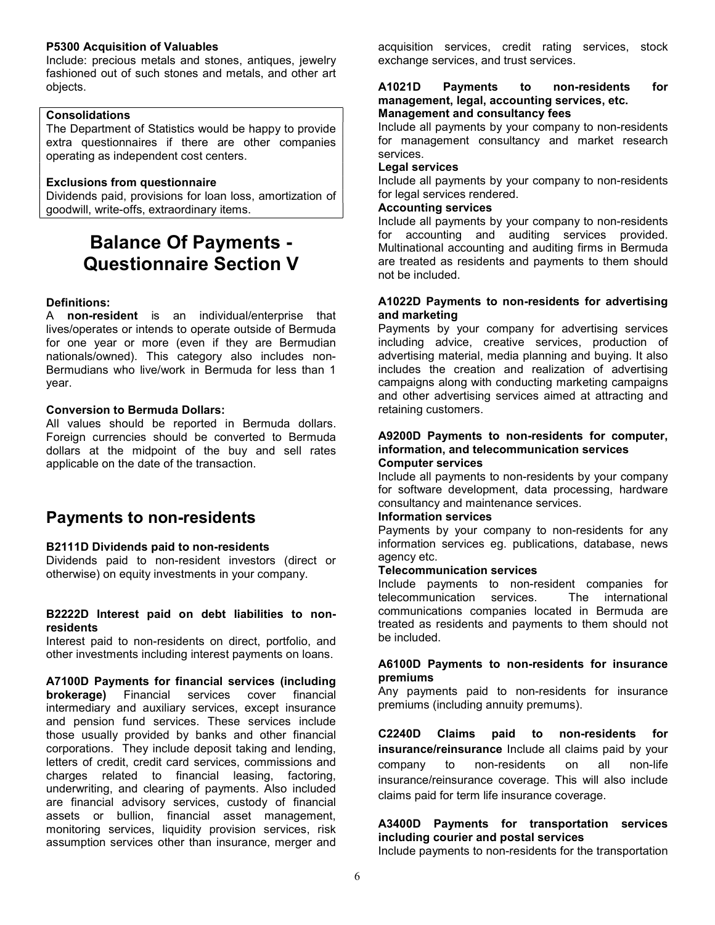#### P5300 Acquisition of Valuables

Include: precious metals and stones, antiques, jewelry fashioned out of such stones and metals, and other art objects.

## Consolidations

The Department of Statistics would be happy to provide extra questionnaires if there are other companies operating as independent cost centers.

## Exclusions from questionnaire

Dividends paid, provisions for loan loss, amortization of goodwill, write-offs, extraordinary items.

## Balance Of Payments - Questionnaire Section V

## Definitions:

A non-resident is an individual/enterprise that lives/operates or intends to operate outside of Bermuda for one year or more (even if they are Bermudian nationals/owned). This category also includes non-Bermudians who live/work in Bermuda for less than 1 year.

## Conversion to Bermuda Dollars:

All values should be reported in Bermuda dollars. Foreign currencies should be converted to Bermuda dollars at the midpoint of the buy and sell rates applicable on the date of the transaction.

## Payments to non-residents

## B2111D Dividends paid to non-residents

Dividends paid to non-resident investors (direct or otherwise) on equity investments in your company.

#### B2222D Interest paid on debt liabilities to nonresidents

Interest paid to non-residents on direct, portfolio, and other investments including interest payments on loans.

A7100D Payments for financial services (including brokerage) Financial services cover financial intermediary and auxiliary services, except insurance and pension fund services. These services include those usually provided by banks and other financial corporations. They include deposit taking and lending, letters of credit, credit card services, commissions and charges related to financial leasing, factoring, underwriting, and clearing of payments. Also included are financial advisory services, custody of financial assets or bullion, financial asset management, monitoring services, liquidity provision services, risk assumption services other than insurance, merger and

acquisition services, credit rating services, stock exchange services, and trust services.

#### A1021D Payments to non-residents for management, legal, accounting services, etc. Management and consultancy fees

Include all payments by your company to non-residents for management consultancy and market research services.

### Legal services

Include all payments by your company to non-residents for legal services rendered.

### Accounting services

Include all payments by your company to non-residents for accounting and auditing services provided. Multinational accounting and auditing firms in Bermuda are treated as residents and payments to them should not be included.

#### A1022D Payments to non-residents for advertising and marketing

Payments by your company for advertising services including advice, creative services, production of advertising material, media planning and buying. It also includes the creation and realization of advertising campaigns along with conducting marketing campaigns and other advertising services aimed at attracting and retaining customers.

#### A9200D Payments to non-residents for computer, information, and telecommunication services Computer services

Include all payments to non-residents by your company for software development, data processing, hardware consultancy and maintenance services.

## Information services

Payments by your company to non-residents for any information services eg. publications, database, news agency etc.

## Telecommunication services

Include payments to non-resident companies for telecommunication services. The international communications companies located in Bermuda are treated as residents and payments to them should not be included.

#### A6100D Payments to non-residents for insurance premiums

Any payments paid to non-residents for insurance premiums (including annuity premums).

C2240D Claims paid to non-residents for insurance/reinsurance Include all claims paid by your company to non-residents on all non-life insurance/reinsurance coverage. This will also include claims paid for term life insurance coverage.

## A3400D Payments for transportation services including courier and postal services

Include payments to non-residents for the transportation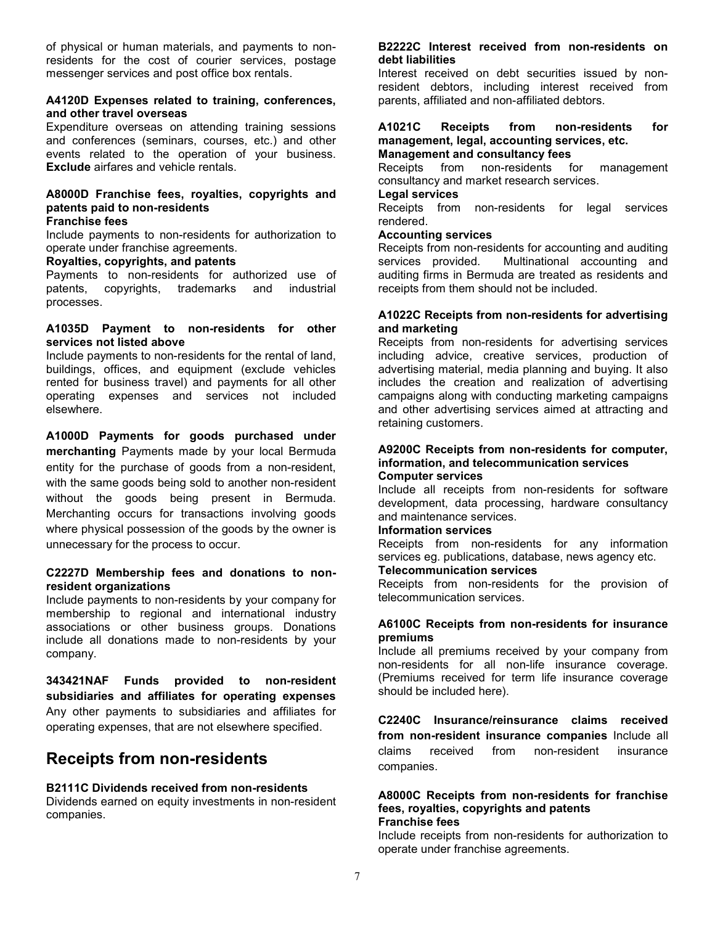of physical or human materials, and payments to nonresidents for the cost of courier services, postage messenger services and post office box rentals.

#### A4120D Expenses related to training, conferences, and other travel overseas

Expenditure overseas on attending training sessions and conferences (seminars, courses, etc.) and other events related to the operation of your business. Exclude airfares and vehicle rentals.

## A8000D Franchise fees, royalties, copyrights and patents paid to non-residents

#### Franchise fees

Include payments to non-residents for authorization to operate under franchise agreements.

#### Royalties, copyrights, and patents

Payments to non-residents for authorized use of patents, copyrights, trademarks and industrial processes.

#### A1035D Payment to non-residents for other services not listed above

Include payments to non-residents for the rental of land, buildings, offices, and equipment (exclude vehicles rented for business travel) and payments for all other operating expenses and services not included elsewhere.

A1000D Payments for goods purchased under merchanting Payments made by your local Bermuda entity for the purchase of goods from a non-resident, with the same goods being sold to another non-resident without the goods being present in Bermuda. Merchanting occurs for transactions involving goods where physical possession of the goods by the owner is unnecessary for the process to occur.

#### C2227D Membership fees and donations to nonresident organizations

Include payments to non-residents by your company for membership to regional and international industry associations or other business groups. Donations include all donations made to non-residents by your company.

343421NAF Funds provided to non-resident subsidiaries and affiliates for operating expenses Any other payments to subsidiaries and affiliates for operating expenses, that are not elsewhere specified.

## Receipts from non-residents

#### B2111C Dividends received from non-residents

Dividends earned on equity investments in non-resident companies.

#### B2222C Interest received from non-residents on debt liabilities

Interest received on debt securities issued by nonresident debtors, including interest received from parents, affiliated and non-affiliated debtors.

#### A1021C Receipts from non-residents for management, legal, accounting services, etc. Management and consultancy fees

Receipts from non-residents for management consultancy and market research services.

#### Legal services

Receipts from non-residents for legal services rendered.

#### Accounting services

Receipts from non-residents for accounting and auditing services provided. Multinational accounting and auditing firms in Bermuda are treated as residents and receipts from them should not be included.

#### A1022C Receipts from non-residents for advertising and marketing

Receipts from non-residents for advertising services including advice, creative services, production of advertising material, media planning and buying. It also includes the creation and realization of advertising campaigns along with conducting marketing campaigns and other advertising services aimed at attracting and retaining customers.

#### A9200C Receipts from non-residents for computer, information, and telecommunication services Computer services

Include all receipts from non-residents for software development, data processing, hardware consultancy and maintenance services.

#### Information services

Receipts from non-residents for any information services eg. publications, database, news agency etc.

#### Telecommunication services

Receipts from non-residents for the provision of telecommunication services.

#### A6100C Receipts from non-residents for insurance premiums

Include all premiums received by your company from non-residents for all non-life insurance coverage. (Premiums received for term life insurance coverage should be included here).

C2240C Insurance/reinsurance claims received from non-resident insurance companies Include all claims received from non-resident insurance companies.

#### A8000C Receipts from non-residents for franchise fees, royalties, copyrights and patents Franchise fees

Include receipts from non-residents for authorization to operate under franchise agreements.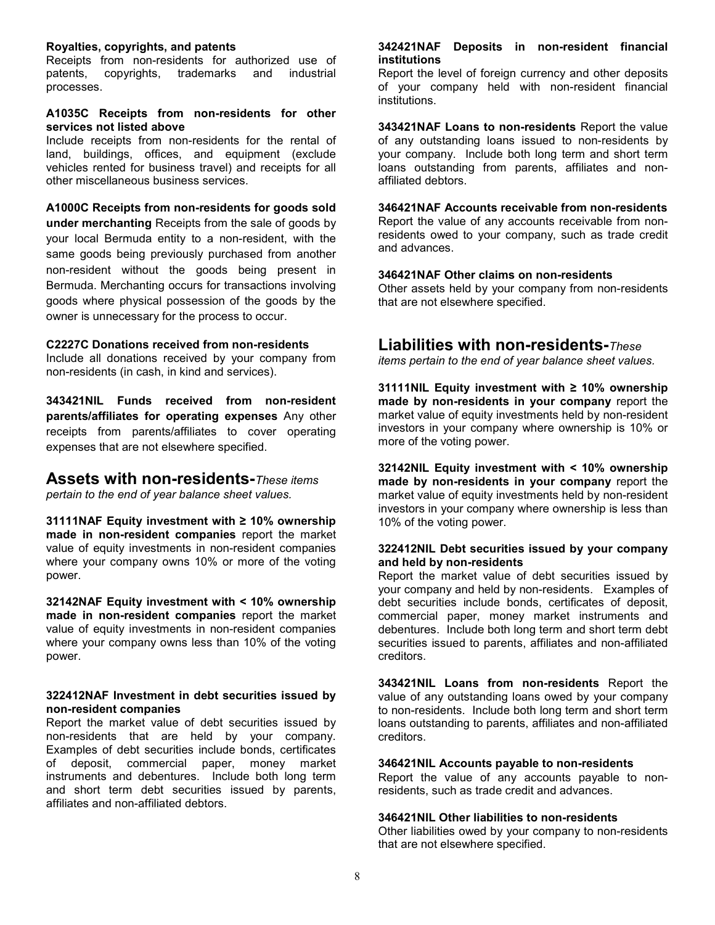#### Royalties, copyrights, and patents

Receipts from non-residents for authorized use of patents, copyrights, trademarks and industrial processes.

#### A1035C Receipts from non-residents for other services not listed above

Include receipts from non-residents for the rental of land, buildings, offices, and equipment (exclude vehicles rented for business travel) and receipts for all other miscellaneous business services.

A1000C Receipts from non-residents for goods sold under merchanting Receipts from the sale of goods by your local Bermuda entity to a non-resident, with the same goods being previously purchased from another non-resident without the goods being present in Bermuda. Merchanting occurs for transactions involving goods where physical possession of the goods by the owner is unnecessary for the process to occur.

#### C2227C Donations received from non-residents

Include all donations received by your company from non-residents (in cash, in kind and services).

343421NIL Funds received from non-resident parents/affiliates for operating expenses Any other receipts from parents/affiliates to cover operating expenses that are not elsewhere specified.

## Assets with non-residents-These items

pertain to the end of year balance sheet values.

31111NAF Equity investment with ≥ 10% ownership made in non-resident companies report the market value of equity investments in non-resident companies where your company owns 10% or more of the voting power.

32142NAF Equity investment with < 10% ownership made in non-resident companies report the market value of equity investments in non-resident companies where your company owns less than 10% of the voting power.

#### 322412NAF Investment in debt securities issued by non-resident companies

Report the market value of debt securities issued by non-residents that are held by your company. Examples of debt securities include bonds, certificates of deposit, commercial paper, money market instruments and debentures. Include both long term and short term debt securities issued by parents, affiliates and non-affiliated debtors.

#### 342421NAF Deposits in non-resident financial institutions

Report the level of foreign currency and other deposits of your company held with non-resident financial institutions.

343421NAF Loans to non-residents Report the value of any outstanding loans issued to non-residents by your company. Include both long term and short term loans outstanding from parents, affiliates and nonaffiliated debtors.

#### 346421NAF Accounts receivable from non-residents

Report the value of any accounts receivable from nonresidents owed to your company, such as trade credit and advances.

#### 346421NAF Other claims on non-residents

Other assets held by your company from non-residents that are not elsewhere specified.

## Liabilities with non-residents-These

items pertain to the end of year balance sheet values.

31111NIL Equity investment with ≥ 10% ownership made by non-residents in your company report the market value of equity investments held by non-resident investors in your company where ownership is 10% or more of the voting power.

32142NIL Equity investment with < 10% ownership made by non-residents in your company report the market value of equity investments held by non-resident investors in your company where ownership is less than 10% of the voting power.

#### 322412NIL Debt securities issued by your company and held by non-residents

Report the market value of debt securities issued by your company and held by non-residents. Examples of debt securities include bonds, certificates of deposit, commercial paper, money market instruments and debentures. Include both long term and short term debt securities issued to parents, affiliates and non-affiliated creditors.

343421NIL Loans from non-residents Report the value of any outstanding loans owed by your company to non-residents. Include both long term and short term loans outstanding to parents, affiliates and non-affiliated creditors.

#### 346421NIL Accounts payable to non-residents

Report the value of any accounts payable to nonresidents, such as trade credit and advances.

#### 346421NIL Other liabilities to non-residents

Other liabilities owed by your company to non-residents that are not elsewhere specified.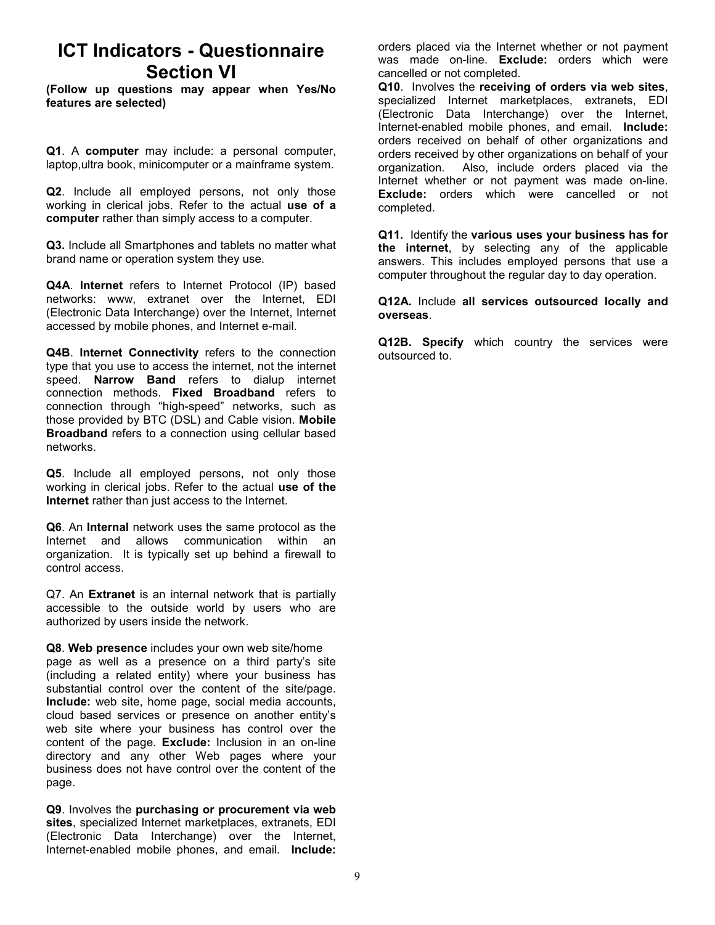## ICT Indicators - Questionnaire Section VI

(Follow up questions may appear when Yes/No features are selected)

Q1. A computer may include: a personal computer, laptop,ultra book, minicomputer or a mainframe system.

Q2. Include all employed persons, not only those working in clerical jobs. Refer to the actual use of a computer rather than simply access to a computer.

Q3. Include all Smartphones and tablets no matter what brand name or operation system they use.

Q4A. Internet refers to Internet Protocol (IP) based networks: www, extranet over the Internet, EDI (Electronic Data Interchange) over the Internet, Internet accessed by mobile phones, and Internet e-mail.

Q4B. Internet Connectivity refers to the connection type that you use to access the internet, not the internet speed. **Narrow Band** refers to dialup internet connection methods. Fixed Broadband refers to connection through "high-speed" networks, such as those provided by BTC (DSL) and Cable vision. Mobile Broadband refers to a connection using cellular based networks.

Q5. Include all employed persons, not only those working in clerical jobs. Refer to the actual use of the Internet rather than just access to the Internet.

Q6. An Internal network uses the same protocol as the Internet and allows communication within an organization. It is typically set up behind a firewall to control access.

Q7. An **Extranet** is an internal network that is partially accessible to the outside world by users who are authorized by users inside the network.

Q8. Web presence includes your own web site/home page as well as a presence on a third party's site (including a related entity) where your business has substantial control over the content of the site/page. Include: web site, home page, social media accounts, cloud based services or presence on another entity's web site where your business has control over the content of the page. Exclude: Inclusion in an on-line directory and any other Web pages where your business does not have control over the content of the page.

Q9. Involves the purchasing or procurement via web sites, specialized Internet marketplaces, extranets, EDI (Electronic Data Interchange) over the Internet, Internet-enabled mobile phones, and email. Include:

orders placed via the Internet whether or not payment was made on-line. **Exclude:** orders which were cancelled or not completed.

Q10. Involves the receiving of orders via web sites, specialized Internet marketplaces, extranets, EDI (Electronic Data Interchange) over the Internet, Internet-enabled mobile phones, and email. Include: orders received on behalf of other organizations and orders received by other organizations on behalf of your organization. Also, include orders placed via the Internet whether or not payment was made on-line. **Exclude:** orders which were cancelled or not completed.

Q11. Identify the various uses your business has for the internet, by selecting any of the applicable answers. This includes employed persons that use a computer throughout the regular day to day operation.

Q12A. Include all services outsourced locally and overseas.

Q12B. Specify which country the services were outsourced to.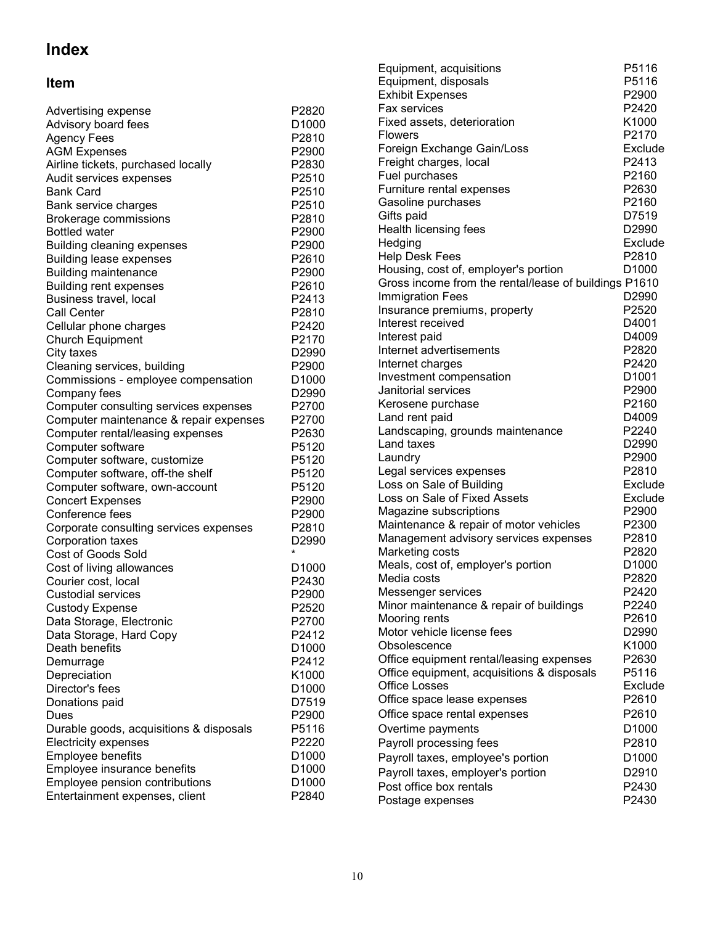# Index

## Item

| Advertising expense                                                 | P2820             | F.           |
|---------------------------------------------------------------------|-------------------|--------------|
| Advisory board fees                                                 | D <sub>1000</sub> | F            |
| <b>Agency Fees</b>                                                  | P2810             | F            |
| <b>AGM Expenses</b>                                                 | P <sub>2900</sub> | F            |
| Airline tickets, purchased locally                                  | P2830             | F            |
| Audit services expenses                                             | P2510             | F            |
| <b>Bank Card</b>                                                    | P2510             | F            |
|                                                                     | P2510             | G            |
| Bank service charges<br>Brokerage commissions                       | P2810             | G            |
| <b>Bottled water</b>                                                | P2900             | $\mathsf{H}$ |
|                                                                     | P2900             | $\mathsf{H}$ |
| <b>Building cleaning expenses</b><br><b>Building lease expenses</b> | P2610             | $\mathsf{H}$ |
|                                                                     | P2900             | Н            |
| <b>Building maintenance</b>                                         |                   | G            |
| <b>Building rent expenses</b>                                       | P <sub>2610</sub> | In           |
| Business travel, local                                              | P2413             | In           |
| <b>Call Center</b>                                                  | P2810             | In           |
| Cellular phone charges                                              | P2420             | In           |
| <b>Church Equipment</b>                                             | P2170             | In           |
| City taxes                                                          | D2990             | In           |
| Cleaning services, building                                         | P2900             | In           |
| Commissions - employee compensation                                 | D <sub>1000</sub> | J;           |
| Company fees                                                        | D <sub>2990</sub> | Κ            |
| Computer consulting services expenses                               | P2700             | L            |
| Computer maintenance & repair expenses                              | P2700             | L            |
| Computer rental/leasing expenses                                    | P2630             | L            |
| Computer software                                                   | P5120             |              |
| Computer software, customize                                        | P5120             | L            |
| Computer software, off-the shelf                                    | P5120             | Ļ(           |
| Computer software, own-account                                      | P5120             | Ļ(           |
| <b>Concert Expenses</b>                                             | P2900             | Ļ(           |
| Conference fees                                                     | P2900             | M<br>M       |
| Corporate consulting services expenses                              | P <sub>2810</sub> |              |
| Corporation taxes                                                   | D <sub>2990</sub> | M            |
| <b>Cost of Goods Sold</b>                                           | $\star$           | M            |
| Cost of living allowances                                           | D <sub>1000</sub> | M            |
| Courier cost, local                                                 | P2430             | M            |
| <b>Custodial services</b>                                           | P2900             | M            |
| <b>Custody Expense</b>                                              | P2520             | M            |
| Data Storage, Electronic                                            | P2700             | M            |
| Data Storage, Hard Copy                                             | P2412             | M            |
| Death benefits                                                      | D1000             | O            |
| Demurrage                                                           | P2412             | O            |
| Depreciation                                                        | K1000             | O            |
| Director's fees                                                     | D1000             | O            |
| Donations paid                                                      | D7519             | O            |
| Dues                                                                | P2900             | O            |
| Durable goods, acquisitions & disposals                             | P5116             | O            |
| <b>Electricity expenses</b>                                         | P2220             | P            |
| Employee benefits                                                   | D1000             | Ρ            |
| Employee insurance benefits                                         | D1000             | P            |
| Employee pension contributions                                      | D1000             | Р            |
| Entertainment expenses, client                                      | P2840             | P            |

| Equipment, acquisitions                               | P5116             |
|-------------------------------------------------------|-------------------|
| Equipment, disposals                                  | P5116             |
| <b>Exhibit Expenses</b>                               | P2900             |
| <b>Fax services</b>                                   | P2420             |
| Fixed assets, deterioration                           | K1000             |
| <b>Flowers</b>                                        | P2170             |
| Foreign Exchange Gain/Loss                            | Exclude           |
| Freight charges, local                                | P2413             |
| Fuel purchases                                        | P2160             |
| Furniture rental expenses                             | P2630             |
| Gasoline purchases                                    | P2160             |
| Gifts paid                                            | D7519             |
| Health licensing fees                                 | D2990             |
| Hedging                                               | Exclude           |
| <b>Help Desk Fees</b>                                 | P2810             |
| Housing, cost of, employer's portion                  | D <sub>1000</sub> |
| Gross income from the rental/lease of buildings P1610 |                   |
| <b>Immigration Fees</b>                               | D2990             |
| Insurance premiums, property                          | P2520             |
| Interest received                                     | D4001             |
| Interest paid                                         | D4009             |
| Internet advertisements                               | P2820             |
| Internet charges                                      | P2420             |
| Investment compensation                               | D1001             |
| Janitorial services                                   | P2900             |
| Kerosene purchase                                     | P2160             |
| Land rent paid                                        | D4009             |
| Landscaping, grounds maintenance                      | P2240             |
| Land taxes                                            | D <sub>2990</sub> |
| Laundry                                               | P2900             |
| Legal services expenses                               | P2810             |
| Loss on Sale of Building                              | Exclude           |
| Loss on Sale of Fixed Assets                          | Exclude           |
| Magazine subscriptions                                | P2900             |
| Maintenance & repair of motor vehicles                | P2300             |
| Management advisory services expenses                 | P2810             |
| Marketing costs                                       | P2820             |
| Meals, cost of, employer's portion                    | D <sub>1000</sub> |
| Media costs                                           | P2820             |
| Messenger services                                    | P2420             |
| Minor maintenance & repair of buildings               | P2240             |
| Mooring rents                                         | P2610             |
| Motor vehicle license fees                            | D2990             |
| Obsolescence                                          | K1000             |
| Office equipment rental/leasing expenses              | P2630             |
| Office equipment, acquisitions & disposals            | P5116             |
| <b>Office Losses</b>                                  | Exclude           |
| Office space lease expenses                           | P2610             |
| Office space rental expenses                          | P2610             |
| Overtime payments                                     | D1000             |
| Payroll processing fees                               | P2810             |
| Payroll taxes, employee's portion                     | D1000             |
| Payroll taxes, employer's portion                     | D2910             |
| Post office box rentals                               | P2430             |
| Postage expenses                                      | P2430             |
|                                                       |                   |